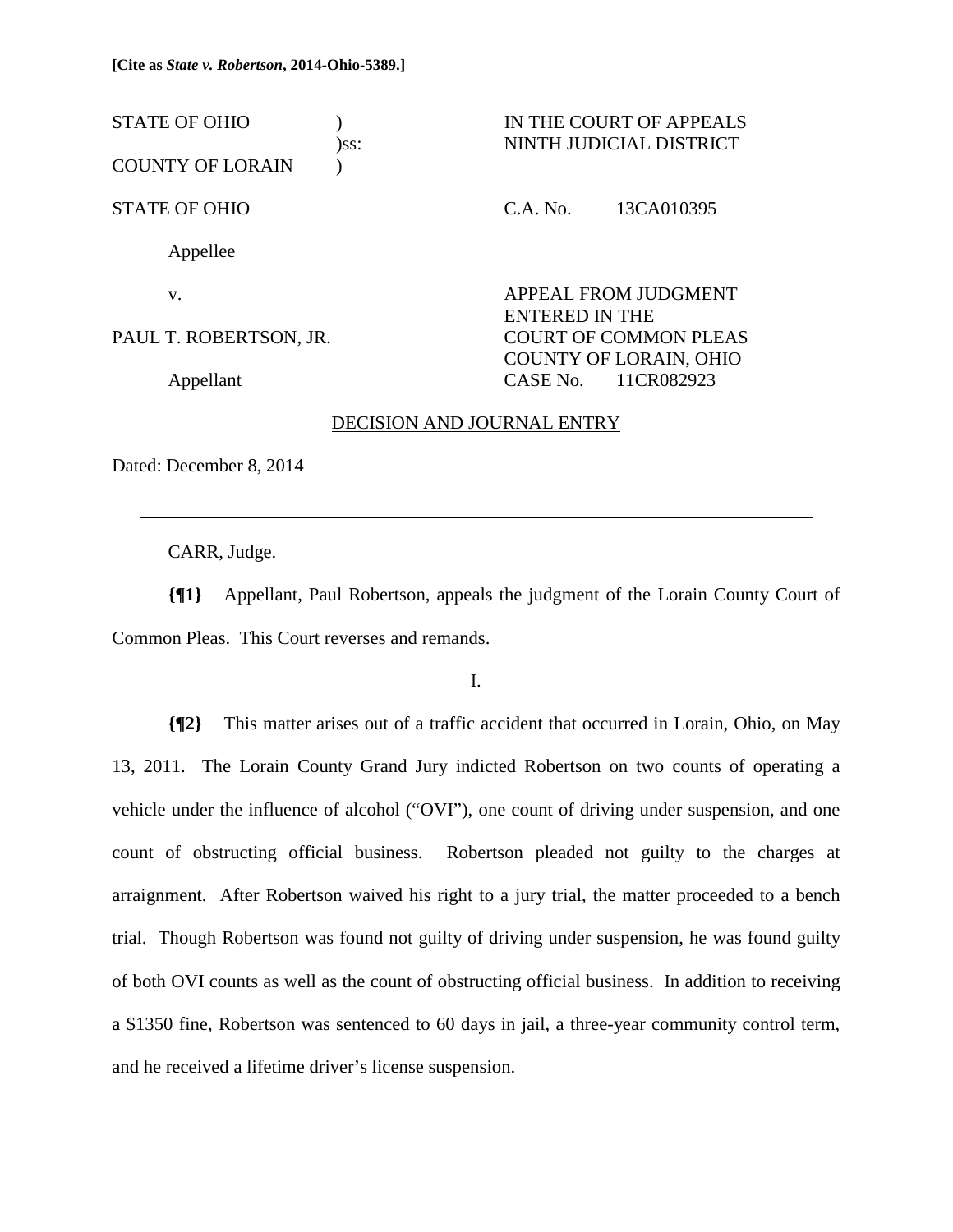| <b>STATE OF OHIO</b>    | )ss: |                       | IN THE COURT OF APPEALS<br>NINTH JUDICIAL DISTRICT   |
|-------------------------|------|-----------------------|------------------------------------------------------|
| <b>COUNTY OF LORAIN</b> |      |                       |                                                      |
| <b>STATE OF OHIO</b>    |      | C.A. No.              | 13CA010395                                           |
| Appellee                |      |                       |                                                      |
| V.                      |      | <b>ENTERED IN THE</b> | APPEAL FROM JUDGMENT                                 |
| PAUL T. ROBERTSON, JR.  |      |                       | <b>COURT OF COMMON PLEAS</b>                         |
| Appellant               |      |                       | <b>COUNTY OF LORAIN, OHIO</b><br>CASE No. 11CR082923 |

#### DECISION AND JOURNAL ENTRY

Dated: December 8, 2014

l

CARR, Judge.

**{¶1}** Appellant, Paul Robertson, appeals the judgment of the Lorain County Court of Common Pleas. This Court reverses and remands.

I.

**{¶2}** This matter arises out of a traffic accident that occurred in Lorain, Ohio, on May 13, 2011. The Lorain County Grand Jury indicted Robertson on two counts of operating a vehicle under the influence of alcohol ("OVI"), one count of driving under suspension, and one count of obstructing official business. Robertson pleaded not guilty to the charges at arraignment. After Robertson waived his right to a jury trial, the matter proceeded to a bench trial. Though Robertson was found not guilty of driving under suspension, he was found guilty of both OVI counts as well as the count of obstructing official business. In addition to receiving a \$1350 fine, Robertson was sentenced to 60 days in jail, a three-year community control term, and he received a lifetime driver's license suspension.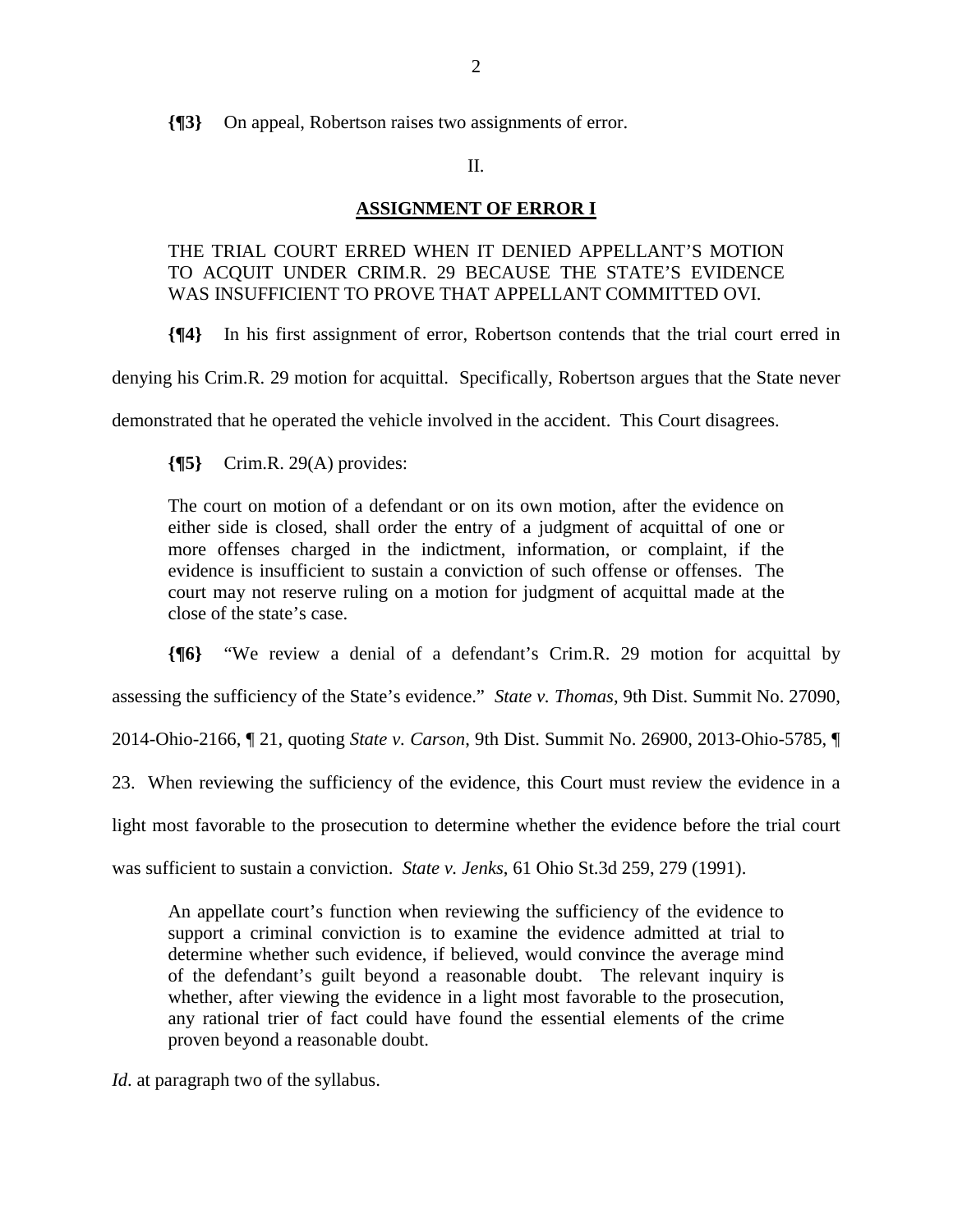**{¶3}** On appeal, Robertson raises two assignments of error.

## II.

### **ASSIGNMENT OF ERROR I**

# THE TRIAL COURT ERRED WHEN IT DENIED APPELLANT'S MOTION TO ACQUIT UNDER CRIM.R. 29 BECAUSE THE STATE'S EVIDENCE WAS INSUFFICIENT TO PROVE THAT APPELLANT COMMITTED OVI.

**{¶4}** In his first assignment of error, Robertson contends that the trial court erred in

denying his Crim.R. 29 motion for acquittal. Specifically, Robertson argues that the State never

demonstrated that he operated the vehicle involved in the accident. This Court disagrees.

**{¶5}** Crim.R. 29(A) provides:

The court on motion of a defendant or on its own motion, after the evidence on either side is closed, shall order the entry of a judgment of acquittal of one or more offenses charged in the indictment, information, or complaint, if the evidence is insufficient to sustain a conviction of such offense or offenses. The court may not reserve ruling on a motion for judgment of acquittal made at the close of the state's case.

**{¶6}** "We review a denial of a defendant's Crim.R. 29 motion for acquittal by

assessing the sufficiency of the State's evidence." *State v. Thomas*, 9th Dist. Summit No. 27090,

2014-Ohio-2166, ¶ 21, quoting *State v. Carson*, 9th Dist. Summit No. 26900, 2013-Ohio-5785, ¶

23. When reviewing the sufficiency of the evidence, this Court must review the evidence in a

light most favorable to the prosecution to determine whether the evidence before the trial court

was sufficient to sustain a conviction. *State v. Jenks*, 61 Ohio St.3d 259, 279 (1991).

An appellate court's function when reviewing the sufficiency of the evidence to support a criminal conviction is to examine the evidence admitted at trial to determine whether such evidence, if believed, would convince the average mind of the defendant's guilt beyond a reasonable doubt. The relevant inquiry is whether, after viewing the evidence in a light most favorable to the prosecution, any rational trier of fact could have found the essential elements of the crime proven beyond a reasonable doubt.

*Id*. at paragraph two of the syllabus.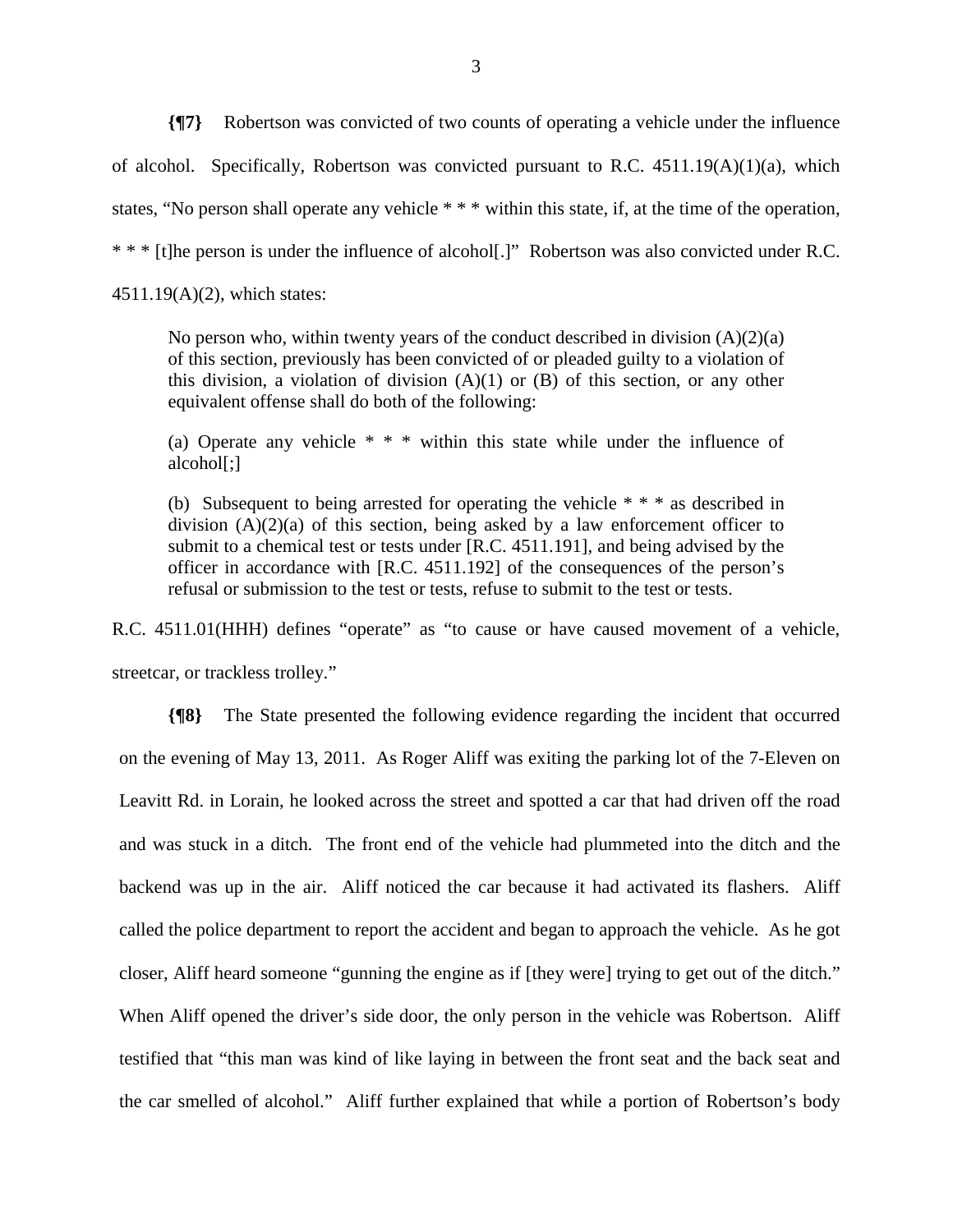**{¶7}** Robertson was convicted of two counts of operating a vehicle under the influence of alcohol. Specifically, Robertson was convicted pursuant to R.C. 4511.19(A)(1)(a), which states, "No person shall operate any vehicle \* \* \* within this state, if, at the time of the operation, \* \* \* [t]he person is under the influence of alcohol[.]" Robertson was also convicted under R.C. 4511.19(A)(2), which states:

No person who, within twenty years of the conduct described in division  $(A)(2)(a)$ of this section, previously has been convicted of or pleaded guilty to a violation of this division, a violation of division  $(A)(1)$  or  $(B)$  of this section, or any other equivalent offense shall do both of the following:

(a) Operate any vehicle \* \* \* within this state while under the influence of alcohol[;]

(b) Subsequent to being arrested for operating the vehicle \* \* \* as described in division  $(A)(2)(a)$  of this section, being asked by a law enforcement officer to submit to a chemical test or tests under [R.C. 4511.191], and being advised by the officer in accordance with [R.C. 4511.192] of the consequences of the person's refusal or submission to the test or tests, refuse to submit to the test or tests.

R.C. 4511.01(HHH) defines "operate" as "to cause or have caused movement of a vehicle, streetcar, or trackless trolley."

**{¶8}** The State presented the following evidence regarding the incident that occurred on the evening of May 13, 2011. As Roger Aliff was exiting the parking lot of the 7-Eleven on Leavitt Rd. in Lorain, he looked across the street and spotted a car that had driven off the road and was stuck in a ditch. The front end of the vehicle had plummeted into the ditch and the backend was up in the air. Aliff noticed the car because it had activated its flashers. Aliff called the police department to report the accident and began to approach the vehicle. As he got closer, Aliff heard someone "gunning the engine as if [they were] trying to get out of the ditch." When Aliff opened the driver's side door, the only person in the vehicle was Robertson. Aliff testified that "this man was kind of like laying in between the front seat and the back seat and the car smelled of alcohol." Aliff further explained that while a portion of Robertson's body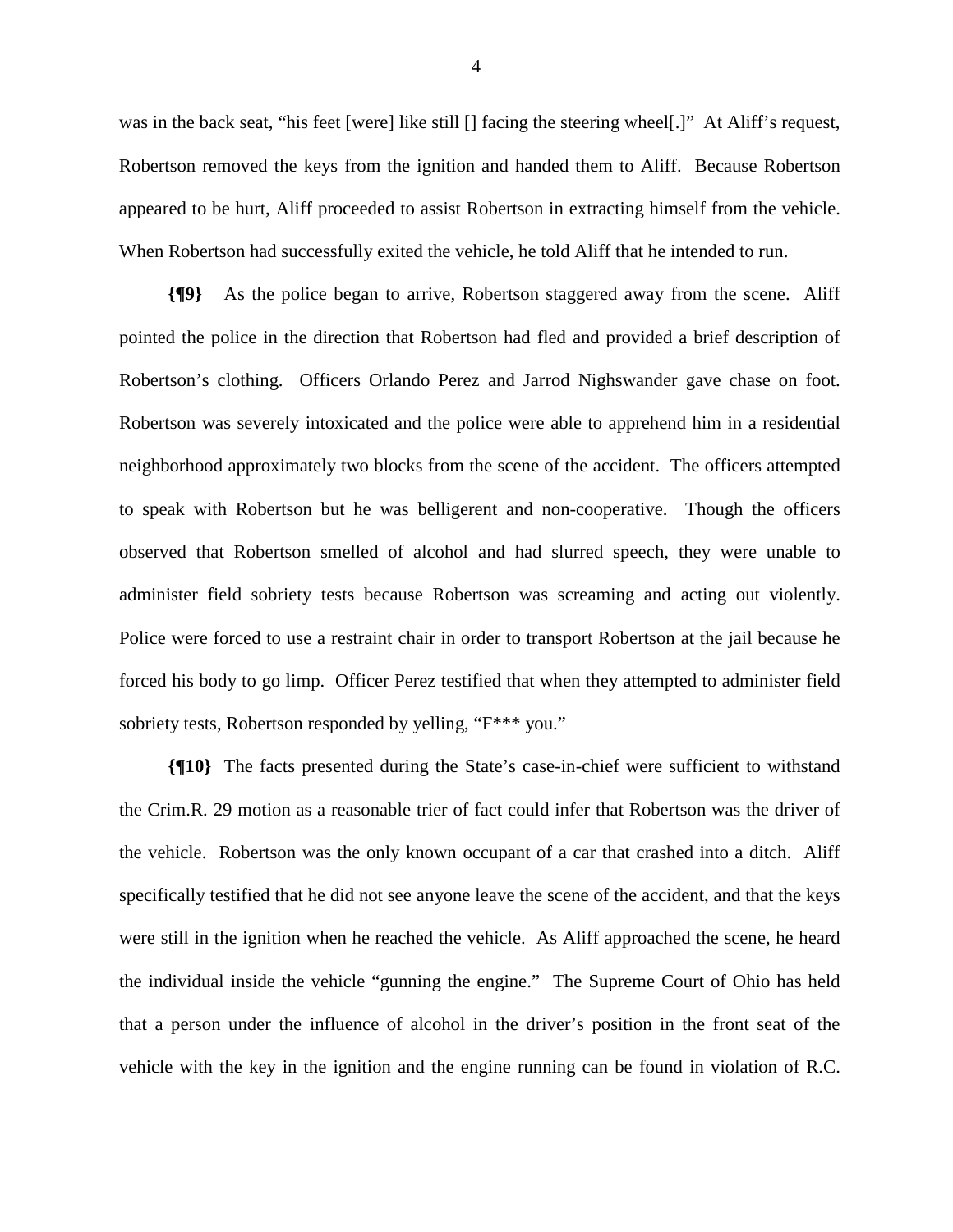was in the back seat, "his feet [were] like still [] facing the steering wheel[.]" At Aliff's request, Robertson removed the keys from the ignition and handed them to Aliff. Because Robertson appeared to be hurt, Aliff proceeded to assist Robertson in extracting himself from the vehicle. When Robertson had successfully exited the vehicle, he told Aliff that he intended to run.

**{¶9}** As the police began to arrive, Robertson staggered away from the scene. Aliff pointed the police in the direction that Robertson had fled and provided a brief description of Robertson's clothing. Officers Orlando Perez and Jarrod Nighswander gave chase on foot. Robertson was severely intoxicated and the police were able to apprehend him in a residential neighborhood approximately two blocks from the scene of the accident. The officers attempted to speak with Robertson but he was belligerent and non-cooperative. Though the officers observed that Robertson smelled of alcohol and had slurred speech, they were unable to administer field sobriety tests because Robertson was screaming and acting out violently. Police were forced to use a restraint chair in order to transport Robertson at the jail because he forced his body to go limp. Officer Perez testified that when they attempted to administer field sobriety tests, Robertson responded by yelling, "F\*\*\* you."

**{¶10}** The facts presented during the State's case-in-chief were sufficient to withstand the Crim.R. 29 motion as a reasonable trier of fact could infer that Robertson was the driver of the vehicle. Robertson was the only known occupant of a car that crashed into a ditch. Aliff specifically testified that he did not see anyone leave the scene of the accident, and that the keys were still in the ignition when he reached the vehicle. As Aliff approached the scene, he heard the individual inside the vehicle "gunning the engine." The Supreme Court of Ohio has held that a person under the influence of alcohol in the driver's position in the front seat of the vehicle with the key in the ignition and the engine running can be found in violation of R.C.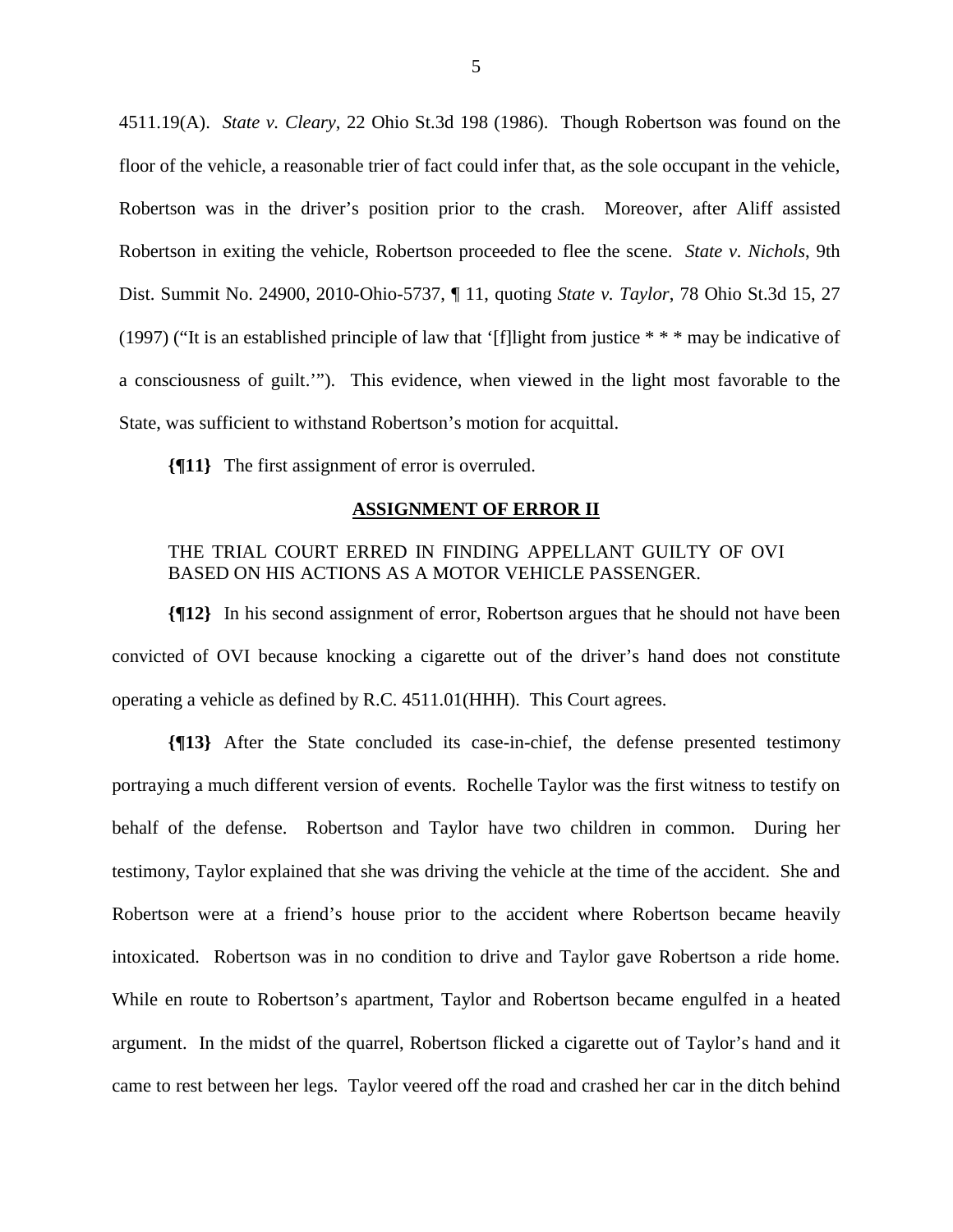4511.19(A). *State v. Cleary*, 22 Ohio St.3d 198 (1986). Though Robertson was found on the floor of the vehicle, a reasonable trier of fact could infer that, as the sole occupant in the vehicle, Robertson was in the driver's position prior to the crash. Moreover, after Aliff assisted Robertson in exiting the vehicle, Robertson proceeded to flee the scene. *State v. Nichols*, 9th Dist. Summit No. 24900, 2010-Ohio-5737, ¶ 11, quoting *State v. Taylor*, 78 Ohio St.3d 15, 27 (1997) ("It is an established principle of law that '[f]light from justice \* \* \* may be indicative of a consciousness of guilt.'"). This evidence, when viewed in the light most favorable to the State, was sufficient to withstand Robertson's motion for acquittal.

**{¶11}** The first assignment of error is overruled.

#### **ASSIGNMENT OF ERROR II**

# THE TRIAL COURT ERRED IN FINDING APPELLANT GUILTY OF OVI BASED ON HIS ACTIONS AS A MOTOR VEHICLE PASSENGER.

**{¶12}** In his second assignment of error, Robertson argues that he should not have been convicted of OVI because knocking a cigarette out of the driver's hand does not constitute operating a vehicle as defined by R.C. 4511.01(HHH). This Court agrees.

**{¶13}** After the State concluded its case-in-chief, the defense presented testimony portraying a much different version of events. Rochelle Taylor was the first witness to testify on behalf of the defense. Robertson and Taylor have two children in common. During her testimony, Taylor explained that she was driving the vehicle at the time of the accident. She and Robertson were at a friend's house prior to the accident where Robertson became heavily intoxicated. Robertson was in no condition to drive and Taylor gave Robertson a ride home. While en route to Robertson's apartment, Taylor and Robertson became engulfed in a heated argument. In the midst of the quarrel, Robertson flicked a cigarette out of Taylor's hand and it came to rest between her legs. Taylor veered off the road and crashed her car in the ditch behind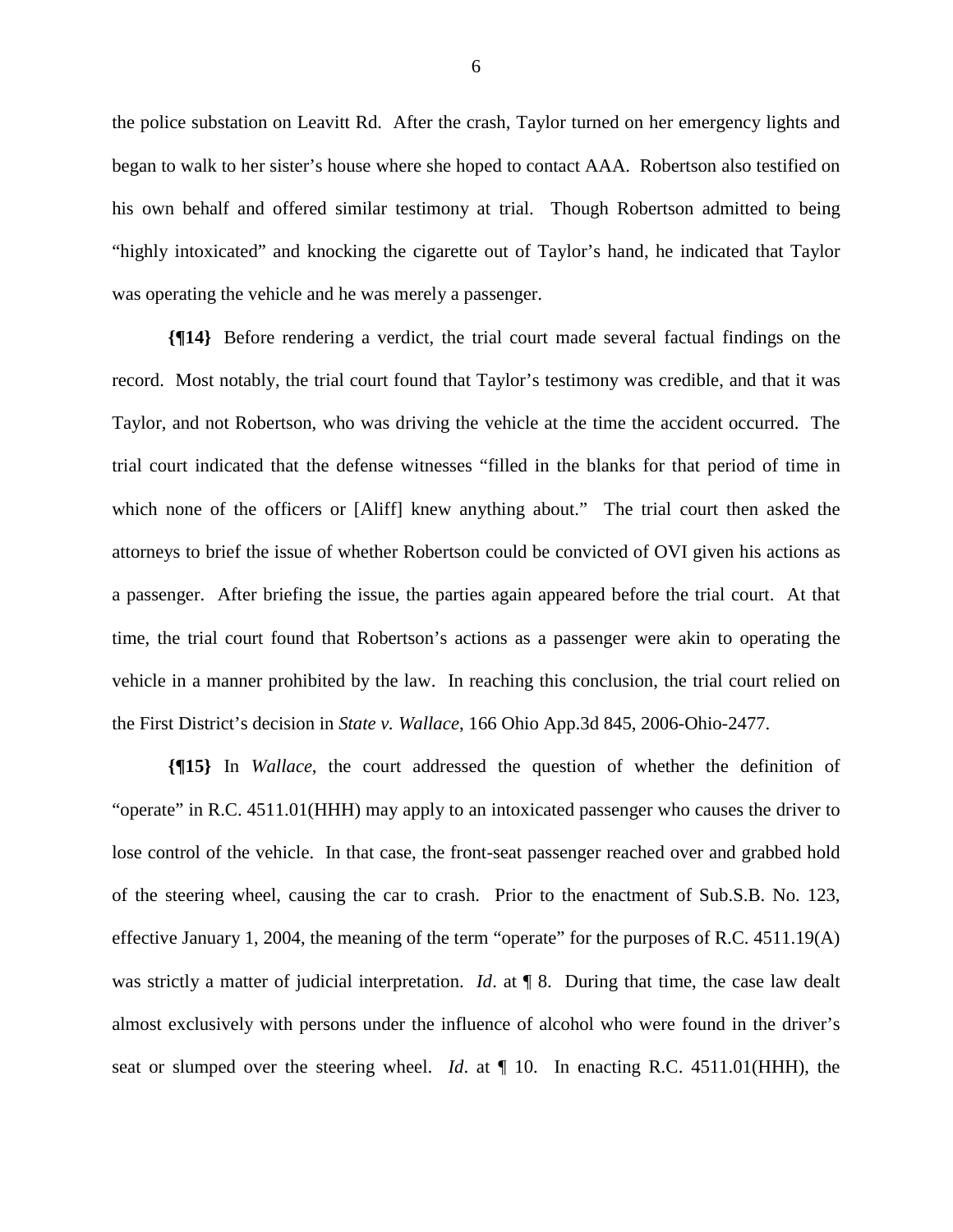the police substation on Leavitt Rd. After the crash, Taylor turned on her emergency lights and began to walk to her sister's house where she hoped to contact AAA. Robertson also testified on his own behalf and offered similar testimony at trial. Though Robertson admitted to being "highly intoxicated" and knocking the cigarette out of Taylor's hand, he indicated that Taylor was operating the vehicle and he was merely a passenger.

**{¶14}** Before rendering a verdict, the trial court made several factual findings on the record. Most notably, the trial court found that Taylor's testimony was credible, and that it was Taylor, and not Robertson, who was driving the vehicle at the time the accident occurred. The trial court indicated that the defense witnesses "filled in the blanks for that period of time in which none of the officers or [Aliff] knew anything about." The trial court then asked the attorneys to brief the issue of whether Robertson could be convicted of OVI given his actions as a passenger. After briefing the issue, the parties again appeared before the trial court. At that time, the trial court found that Robertson's actions as a passenger were akin to operating the vehicle in a manner prohibited by the law. In reaching this conclusion, the trial court relied on the First District's decision in *State v. Wallace*, 166 Ohio App.3d 845, 2006-Ohio-2477.

**{¶15}** In *Wallace*, the court addressed the question of whether the definition of "operate" in R.C. 4511.01(HHH) may apply to an intoxicated passenger who causes the driver to lose control of the vehicle. In that case, the front-seat passenger reached over and grabbed hold of the steering wheel, causing the car to crash. Prior to the enactment of Sub.S.B. No. 123, effective January 1, 2004, the meaning of the term "operate" for the purposes of R.C. 4511.19(A) was strictly a matter of judicial interpretation. *Id*. at **[8.** During that time, the case law dealt almost exclusively with persons under the influence of alcohol who were found in the driver's seat or slumped over the steering wheel. *Id*. at ¶ 10. In enacting R.C. 4511.01(HHH), the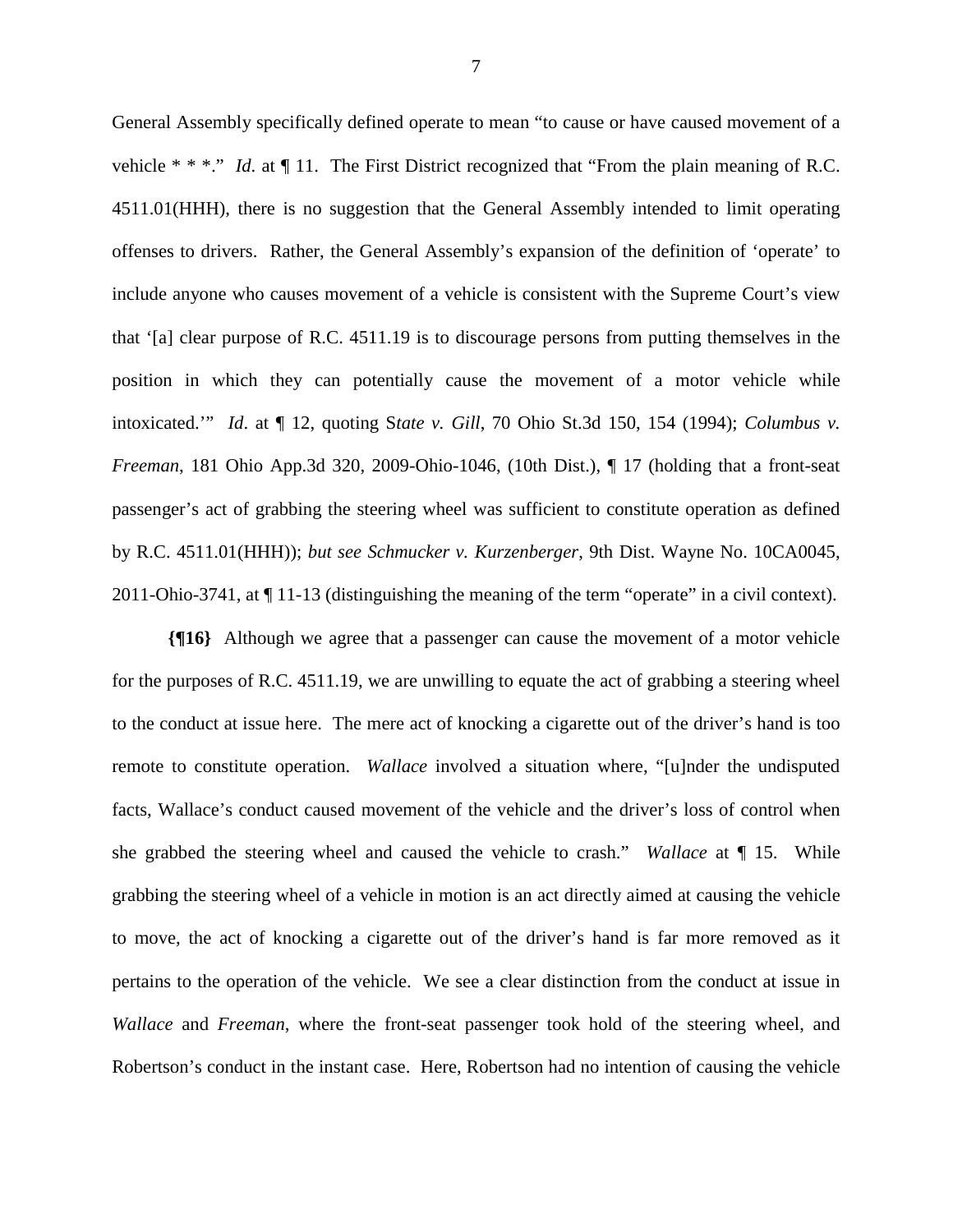General Assembly specifically defined operate to mean "to cause or have caused movement of a vehicle \* \* \*." *Id*. at ¶ 11. The First District recognized that "From the plain meaning of R.C. 4511.01(HHH), there is no suggestion that the General Assembly intended to limit operating offenses to drivers. Rather, the General Assembly's expansion of the definition of 'operate' to include anyone who causes movement of a vehicle is consistent with the Supreme Court's view that '[a] clear purpose of R.C. 4511.19 is to discourage persons from putting themselves in the position in which they can potentially cause the movement of a motor vehicle while intoxicated.'" *Id*. at ¶ 12, quoting S*tate v. Gill*, 70 Ohio St.3d 150, 154 (1994); *Columbus v. Freeman*, 181 Ohio App.3d 320, 2009-Ohio-1046, (10th Dist.), ¶ 17 (holding that a front-seat passenger's act of grabbing the steering wheel was sufficient to constitute operation as defined by R.C. 4511.01(HHH)); *but see Schmucker v. Kurzenberger*, 9th Dist. Wayne No. 10CA0045, 2011-Ohio-3741, at ¶ 11-13 (distinguishing the meaning of the term "operate" in a civil context).

**{¶16}** Although we agree that a passenger can cause the movement of a motor vehicle for the purposes of R.C. 4511.19, we are unwilling to equate the act of grabbing a steering wheel to the conduct at issue here. The mere act of knocking a cigarette out of the driver's hand is too remote to constitute operation. *Wallace* involved a situation where, "[u]nder the undisputed facts, Wallace's conduct caused movement of the vehicle and the driver's loss of control when she grabbed the steering wheel and caused the vehicle to crash." *Wallace* at ¶ 15. While grabbing the steering wheel of a vehicle in motion is an act directly aimed at causing the vehicle to move, the act of knocking a cigarette out of the driver's hand is far more removed as it pertains to the operation of the vehicle. We see a clear distinction from the conduct at issue in *Wallace* and *Freeman*, where the front-seat passenger took hold of the steering wheel, and Robertson's conduct in the instant case. Here, Robertson had no intention of causing the vehicle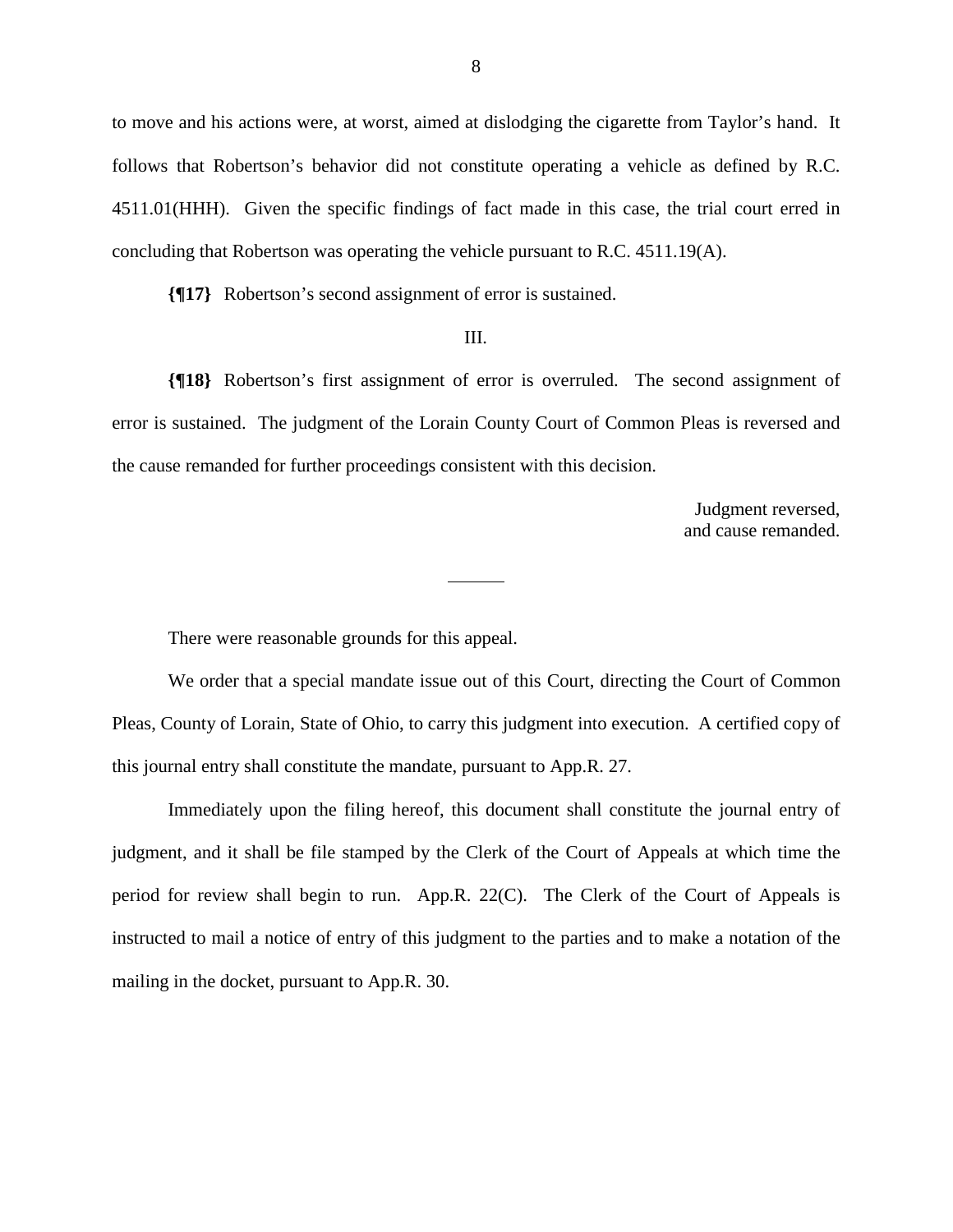to move and his actions were, at worst, aimed at dislodging the cigarette from Taylor's hand. It follows that Robertson's behavior did not constitute operating a vehicle as defined by R.C. 4511.01(HHH). Given the specific findings of fact made in this case, the trial court erred in concluding that Robertson was operating the vehicle pursuant to R.C. 4511.19(A).

**{¶17}** Robertson's second assignment of error is sustained.

#### III.

**{¶18}** Robertson's first assignment of error is overruled. The second assignment of error is sustained. The judgment of the Lorain County Court of Common Pleas is reversed and the cause remanded for further proceedings consistent with this decision.

> Judgment reversed, and cause remanded.

There were reasonable grounds for this appeal.

 We order that a special mandate issue out of this Court, directing the Court of Common Pleas, County of Lorain, State of Ohio, to carry this judgment into execution. A certified copy of this journal entry shall constitute the mandate, pursuant to App.R. 27.

 Immediately upon the filing hereof, this document shall constitute the journal entry of judgment, and it shall be file stamped by the Clerk of the Court of Appeals at which time the period for review shall begin to run. App.R. 22(C). The Clerk of the Court of Appeals is instructed to mail a notice of entry of this judgment to the parties and to make a notation of the mailing in the docket, pursuant to App.R. 30.